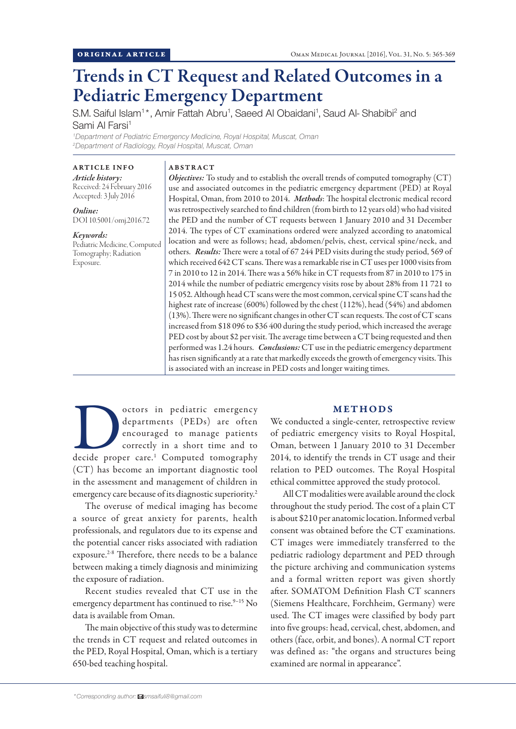# Trends in CT Request and Related Outcomes in a Pediatric Emergency Department

S.M. Saiful Islam<sup>1\*</sup>, Amir Fattah Abru<sup>1</sup>, Saeed Al Obaidani<sup>1</sup>, Saud Al- Shabibi<sup>2</sup> and Sami Al Farsi<sup>1</sup>

*1 Department of Pediatric Emergency Medicine, Royal Hospital, Muscat, Oman 2 Department of Radiology, Royal Hospital, Muscat, Oman*

ARTICLE INFO *Article history:* Received: 24 February 2016 Accepted: 3 July 2016

*Online:* DOI 10.5001/omj.2016.72

*Keywords:*  Pediatric Medicine, Computed Tomography; Radiation Exposure.

## ABSTRACT

*Objectives:* To study and to establish the overall trends of computed tomography (CT) use and associated outcomes in the pediatric emergency department (PED) at Royal Hospital, Oman, from 2010 to 2014. *Methods*: The hospital electronic medical record was retrospectively searched to find children (from birth to 12 years old) who had visited the PED and the number of CT requests between 1 January 2010 and 31 December 2014. The types of CT examinations ordered were analyzed according to anatomical location and were as follows; head, abdomen/pelvis, chest, cervical spine/neck, and others. *Results:* There were a total of 67 244 PED visits during the study period, 569 of which received 642 CT scans. There was a remarkable rise in CT uses per 1000 visits from 7 in 2010 to 12 in 2014. There was a 56% hike in CT requests from 87 in 2010 to 175 in 2014 while the number of pediatric emergency visits rose by about 28% from 11 721 to 15 052. Although head CT scans were the most common, cervical spine CT scans had the highest rate of increase (600%) followed by the chest (112%), head (54%) and abdomen (13%). There were no significant changes in other CT scan requests. The cost of CT scans increased from \$18 096 to \$36 400 during the study period, which increased the average PED cost by about \$2 per visit. The average time between a CT being requested and then performed was 1.24 hours. *Conclusions:* CT use in the pediatric emergency department has risen significantly at a rate that markedly exceeds the growth of emergency visits. This is associated with an increase in PED costs and longer waiting times.

octors in pediatric emergency<br>
departments (PEDs) are often<br>
encouraged to manage patients<br>
correctly in a short time and to<br>
decide proper care.<sup>1</sup> Computed tomography departments (PEDs) are often encouraged to manage patients correctly in a short time and to (CT) has become an important diagnostic tool in the assessment and management of children in emergency care because of its diagnostic superiority.<sup>2</sup>

The overuse of medical imaging has become a source of great anxiety for parents, health professionals, and regulators due to its expense and the potential cancer risks associated with radiation exposure.<sup>2-8</sup> Therefore, there needs to be a balance between making a timely diagnosis and minimizing the exposure of radiation.

Recent studies revealed that CT use in the emergency department has continued to rise.<sup>9-15</sup> No data is available from Oman.

The main objective of this study was to determine the trends in CT request and related outcomes in the PED, Royal Hospital, Oman, which is a tertiary 650-bed teaching hospital.

# METHODS

We conducted a single-center, retrospective review of pediatric emergency visits to Royal Hospital, Oman, between 1 January 2010 to 31 December 2014, to identify the trends in CT usage and their relation to PED outcomes. The Royal Hospital ethical committee approved the study protocol.

All CT modalities were available around the clock throughout the study period. The cost of a plain CT is about \$210 per anatomic location. Informed verbal consent was obtained before the CT examinations. CT images were immediately transferred to the pediatric radiology department and PED through the picture archiving and communication systems and a formal written report was given shortly after. SOMATOM Definition Flash CT scanners (Siemens Healthcare, Forchheim, Germany) were used. The CT images were classified by body part into five groups: head, cervical, chest, abdomen, and others (face, orbit, and bones). A normal CT report was defined as: "the organs and structures being examined are normal in appearance".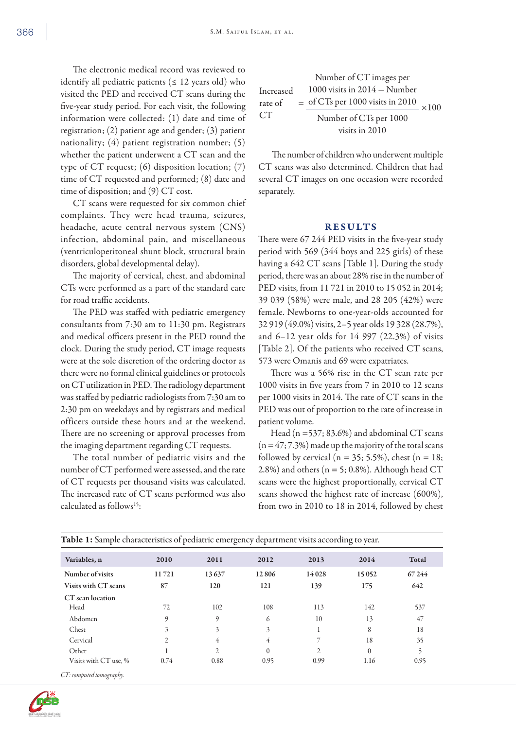The electronic medical record was reviewed to identify all pediatric patients ( $\leq 12$  years old) who visited the PED and received CT scans during the five-year study period. For each visit, the following information were collected: (1) date and time of registration; (2) patient age and gender; (3) patient nationality; (4) patient registration number; (5) whether the patient underwent a CT scan and the type of CT request; (6) disposition location; (7) time of CT requested and performed; (8) date and time of disposition; and (9) CT cost.

CT scans were requested for six common chief complaints. They were head trauma, seizures, headache, acute central nervous system (CNS) infection, abdominal pain, and miscellaneous (ventriculoperitoneal shunt block, structural brain disorders, global developmental delay).

The majority of cervical, chest, and abdominal CTs were performed as a part of the standard care for road traffic accidents.

The PED was staffed with pediatric emergency consultants from 7:30 am to 11:30 pm. Registrars and medical officers present in the PED round the clock. During the study period, CT image requests were at the sole discretion of the ordering doctor as there were no formal clinical guidelines or protocols on CT utilization in PED. The radiology department was staffed by pediatric radiologists from 7:30 am to 2:30 pm on weekdays and by registrars and medical officers outside these hours and at the weekend. There are no screening or approval processes from the imaging department regarding CT requests.

The total number of pediatric visits and the number of CT performed were assessed, and the rate of CT requests per thousand visits was calculated. The increased rate of CT scans performed was also calculated as follows15:

Number of CT images per  
Increase d 1000 visits in 2014 – Number  
rate of = 
$$
\frac{\text{of CTs per 1000 visits in 2010}}{\text{Number of CTs per 1000}} \times 100
$$
 visits in 2010

 The number of children who underwent multiple CT scans was also determined. Children that had several CT images on one occasion were recorded separately.

# RESULTS

There were 67 244 PED visits in the five-year study period with 569 (344 boys and 225 girls) of these having a 642 CT scans [Table 1]. During the study period, there was an about 28% rise in the number of PED visits, from 11 721 in 2010 to 15 052 in 2014; 39 039 (58%) were male, and 28 205 (42%) were female. Newborns to one-year-olds accounted for 32 919 (49.0%) visits, 2–5 year olds 19 328 (28.7%), and 6–12 year olds for 14 997 (22.3%) of visits [Table 2]. Of the patients who received CT scans, 573 were Omanis and 69 were expatriates.

There was a 56% rise in the CT scan rate per 1000 visits in five years from 7 in 2010 to 12 scans per 1000 visits in 2014. The rate of CT scans in the PED was out of proportion to the rate of increase in patient volume.

Head (n =537; 83.6%) and abdominal CT scans  $(n = 47; 7.3%)$  made up the majority of the total scans followed by cervical ( $n = 35$ ; 5.5%), chest ( $n = 18$ ; 2.8%) and others ( $n = 5$ ; 0.8%). Although head CT scans were the highest proportionally, cervical CT scans showed the highest rate of increase (600%), from two in 2010 to 18 in 2014, followed by chest

| <u>eles el premeiro emergeno) alpalement religio aleseitang le peut</u> |                |                |                |       |              |       |  |
|-------------------------------------------------------------------------|----------------|----------------|----------------|-------|--------------|-------|--|
| Variables, n                                                            | 2010           | 2011           | 2012           | 2013  | 2014         | Total |  |
| Number of visits                                                        | 11721          | 13637          | 12806          | 14028 | 15052        | 67244 |  |
| Visits with CT scans                                                    | 87             | 120            | 121            | 139   | 175          | 642   |  |
| CT scan location                                                        |                |                |                |       |              |       |  |
| Head                                                                    | 72             | 102            | 108            | 113   | 142          | 537   |  |
| Abdomen                                                                 | 9              | 9              | 6              | 10    | 13           | 47    |  |
| Chest                                                                   | 3              | 3              | 3              |       | 8            | 18    |  |
| Cervical                                                                | $\overline{2}$ | 4              | $\overline{4}$ | 7     | 18           | 35    |  |
| Other                                                                   |                | $\overline{2}$ | $\theta$       | 2     | $\mathbf{0}$ | 5     |  |
| Visits with CT use, %                                                   | 0.74           | 0.88           | 0.95           | 0.99  | 1.16         | 0.95  |  |

Table 1: Sample characteristics of pediatric emergency department visits according to year.

*CT: computed tomography.*

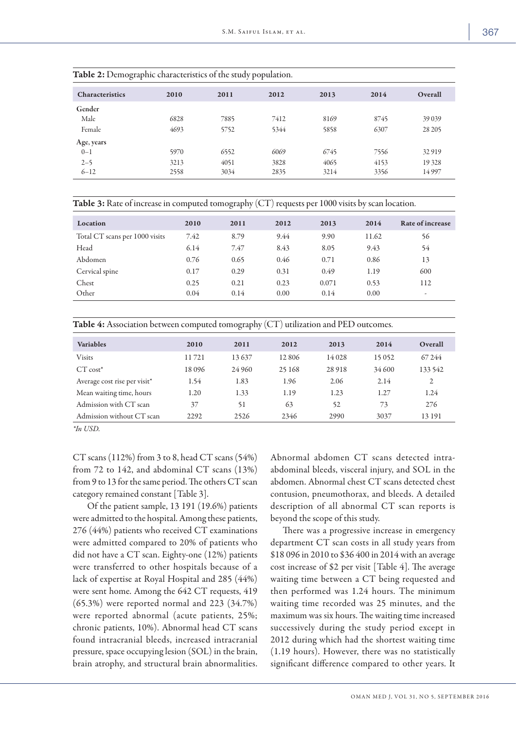| Overall<br>2014 |  |
|-----------------|--|
|                 |  |
| 8745<br>39 0 39 |  |
| 6307<br>28 20 5 |  |
|                 |  |
| 7556<br>32919   |  |
| 4153<br>19 328  |  |
| 3356<br>14997   |  |
|                 |  |

Table 2: Demographic characteristics of the study population.

| Table 3: Rate of increase in computed tomography (CT) requests per 1000 visits by scan location. |  |  |  |
|--------------------------------------------------------------------------------------------------|--|--|--|
|--------------------------------------------------------------------------------------------------|--|--|--|

| Location                       | 2010 | 2011 | 2012 | 2013  | 2014  | Rate of increase |
|--------------------------------|------|------|------|-------|-------|------------------|
| Total CT scans per 1000 visits | 7.42 | 8.79 | 9.44 | 9.90  | 11.62 | 56               |
| Head                           | 6.14 | 7.47 | 8.43 | 8.05  | 9.43  | 54               |
| Abdomen                        | 0.76 | 0.65 | 0.46 | 0.71  | 0.86  | 13               |
| Cervical spine                 | 0.17 | 0.29 | 0.31 | 0.49  | 1.19  | 600              |
| Chest                          | 0.25 | 0.21 | 0.23 | 0.071 | 0.53  | 112              |
| Other                          | 0.04 | 0.14 | 0.00 | 0.14  | 0.00  | ۰                |

| <b>Table 4:</b> Association between computed tomography (CT) utilization and PED outcomes. |  |  |  |  |
|--------------------------------------------------------------------------------------------|--|--|--|--|
|--------------------------------------------------------------------------------------------|--|--|--|--|

| <b>Variables</b>             | 2010  | 2011   | 2012   | 2013    | 2014   | Overall |
|------------------------------|-------|--------|--------|---------|--------|---------|
| Visits                       | 11721 | 13637  | 12806  | 14 0 28 | 15052  | 67 244  |
| $CT cost^*$                  | 18096 | 24 960 | 25 168 | 28918   | 34 600 | 133 542 |
| Average cost rise per visit* | 1.54  | 1.83   | 1.96   | 2.06    | 2.14   | 2       |
| Mean waiting time, hours     | 1.20  | 1.33   | 1.19   | 1.23    | 1.27   | 1.24    |
| Admission with CT scan       | 37    | 51     | 63     | 52      | 73     | 276     |
| Admission without CT scan    | 2292  | 2526   | 2346   | 2990    | 3037   | 13 19 1 |

*\*In USD.*

CT scans (112%) from 3 to 8, head CT scans (54%) from 72 to 142, and abdominal CT scans (13%) from 9 to 13 for the same period. The others CT scan category remained constant [Table 3].

 Of the patient sample, 13 191 (19.6%) patients were admitted to the hospital. Among these patients, 276 (44%) patients who received CT examinations were admitted compared to 20% of patients who did not have a CT scan. Eighty-one (12%) patients were transferred to other hospitals because of a lack of expertise at Royal Hospital and 285 (44%) were sent home. Among the 642 CT requests, 419 (65.3%) were reported normal and 223 (34.7%) were reported abnormal (acute patients, 25%; chronic patients, 10%). Abnormal head CT scans found intracranial bleeds, increased intracranial pressure, space occupying lesion (SOL) in the brain, brain atrophy, and structural brain abnormalities. Abnormal abdomen CT scans detected intraabdominal bleeds, visceral injury, and SOL in the abdomen. Abnormal chest CT scans detected chest contusion, pneumothorax, and bleeds. A detailed description of all abnormal CT scan reports is beyond the scope of this study.

There was a progressive increase in emergency department CT scan costs in all study years from \$18 096 in 2010 to \$36 400 in 2014 with an average cost increase of \$2 per visit [Table 4]. The average waiting time between a CT being requested and then performed was 1.24 hours. The minimum waiting time recorded was 25 minutes, and the maximum was six hours. The waiting time increased successively during the study period except in 2012 during which had the shortest waiting time (1.19 hours). However, there was no statistically significant difference compared to other years. It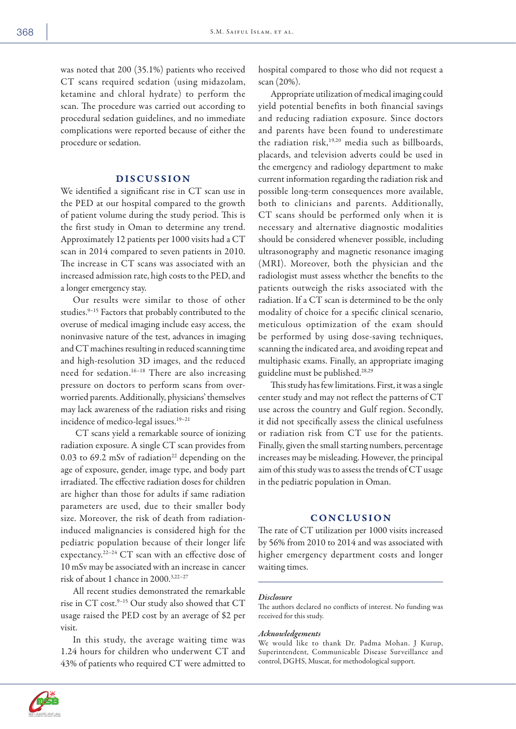was noted that 200 (35.1%) patients who received CT scans required sedation (using midazolam, ketamine and chloral hydrate) to perform the scan. The procedure was carried out according to procedural sedation guidelines, and no immediate complications were reported because of either the procedure or sedation.

# DISCUSSION

We identified a significant rise in CT scan use in the PED at our hospital compared to the growth of patient volume during the study period. This is the first study in Oman to determine any trend. Approximately 12 patients per 1000 visits had a CT scan in 2014 compared to seven patients in 2010. The increase in CT scans was associated with an increased admission rate, high costs to the PED, and a longer emergency stay.

Our results were similar to those of other studies.<sup>9-15</sup> Factors that probably contributed to the overuse of medical imaging include easy access, the noninvasive nature of the test, advances in imaging and CT machines resulting in reduced scanning time and high-resolution 3D images, and the reduced need for sedation.16–18 There are also increasing pressure on doctors to perform scans from overworried parents. Additionally, physicians' themselves may lack awareness of the radiation risks and rising incidence of medico-legal issues.19–21

 CT scans yield a remarkable source of ionizing radiation exposure. A single CT scan provides from 0.03 to 69.2 mSv of radiation<sup>22</sup> depending on the age of exposure, gender, image type, and body part irradiated. The effective radiation doses for children are higher than those for adults if same radiation parameters are used, due to their smaller body size. Moreover, the risk of death from radiationinduced malignancies is considered high for the pediatric population because of their longer life expectancy.22–24 CT scan with an effective dose of 10 mSv may be associated with an increase in cancer risk of about 1 chance in 2000.3,22–27

All recent studies demonstrated the remarkable rise in CT cost.9–15 Our study also showed that CT usage raised the PED cost by an average of \$2 per visit.

In this study, the average waiting time was 1.24 hours for children who underwent CT and 43% of patients who required CT were admitted to hospital compared to those who did not request a scan (20%).

Appropriate utilization of medical imaging could yield potential benefits in both financial savings and reducing radiation exposure. Since doctors and parents have been found to underestimate the radiation risk,<sup>19,20</sup> media such as billboards, placards, and television adverts could be used in the emergency and radiology department to make current information regarding the radiation risk and possible long-term consequences more available, both to clinicians and parents. Additionally, CT scans should be performed only when it is necessary and alternative diagnostic modalities should be considered whenever possible, including ultrasonography and magnetic resonance imaging (MRI). Moreover, both the physician and the radiologist must assess whether the benefits to the patients outweigh the risks associated with the radiation. If a CT scan is determined to be the only modality of choice for a specific clinical scenario, meticulous optimization of the exam should be performed by using dose-saving techniques, scanning the indicated area, and avoiding repeat and multiphasic exams. Finally, an appropriate imaging guideline must be published.28,29

This study has few limitations. First, it was a single center study and may not reflect the patterns of CT use across the country and Gulf region. Secondly, it did not specifically assess the clinical usefulness or radiation risk from CT use for the patients. Finally, given the small starting numbers, percentage increases may be misleading. However, the principal aim of this study was to assess the trends of CT usage in the pediatric population in Oman.

## **CONCLUSION**

The rate of CT utilization per 1000 visits increased by 56% from 2010 to 2014 and was associated with higher emergency department costs and longer waiting times.

#### *Disclosure*

The authors declared no conflicts of interest. No funding was received for this study.

## *Acknowledgements*

We would like to thank Dr. Padma Mohan. J Kurup, Superintendent, Communicable Disease Surveillance and control, DGHS, Muscat, for methodological support.